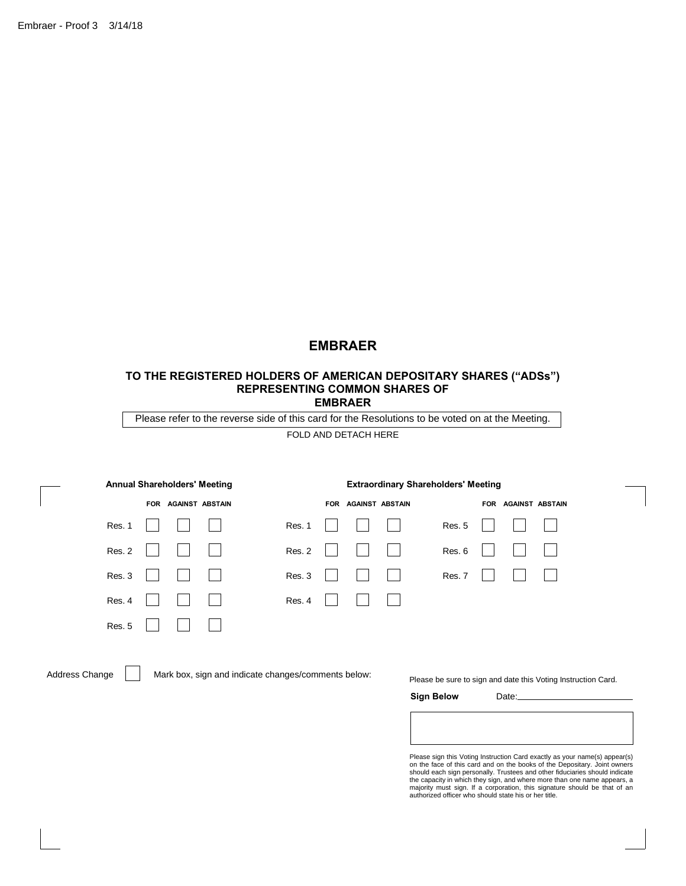# **EMBRAER**

### **TO THE REGISTERED HOLDERS OF AMERICAN DEPOSITARY SHARES ("ADSs") REPRESENTING COMMON SHARES OF EMBRAER**

| <b>Annual Shareholders' Meeting</b>  | <b>Extraordinary Shareholders' Meeting</b> |                     |
|--------------------------------------|--------------------------------------------|---------------------|
| <b>AGAINST ABSTAIN</b><br><b>FOR</b> | <b>AGAINST ABSTAIN</b><br><b>FOR</b>       | FOR AGAINST ABSTAIN |
| Res. 1                               | Res. 1                                     | Res. 5              |
| Res. 2                               | Res. 2                                     | Res. 6              |
| Res. 3                               | Res. 3                                     | Res. 7              |
| Res. 4                               | Res. 4                                     |                     |
| <b>Res. 5</b>                        |                                            |                     |

Address Change | | Mark box, sign and indicate changes/comments below:

Please be sure to sign and date this Voting Instruction Card.

Date: **Sign Below**

| ease sign this Voting Instruction Card exactly as your name(s) appear(s) |  |
|--------------------------------------------------------------------------|--|

Please sign this Voting Instruction Card exactly as your name(s) appear(s)<br>on the face of this card and on the books of the Depositary. Joint owners<br>should each sign personally. Trustees and other fiduciaries should indica the capacity in which they sign, and where more than one name appears, a<br>majority must sign. If a corporation, this signature should be that of an<br>authorized officer who should state his or her title.